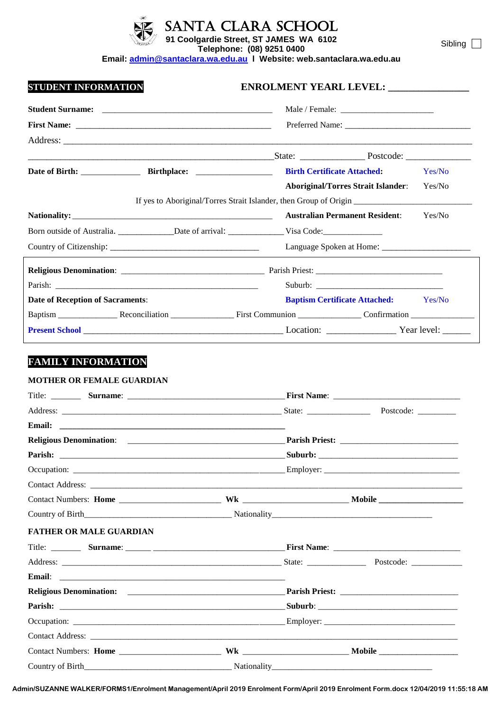

SANTA CLARA SCHOOL

**91 Coolgardie Street, ST JAMES WA 6102**

**Telephone: (08) 9251 0400 Email: [admin@santaclara.wa.edu.au](mailto:admin@santaclara.wa.edu.au) l Website: web.santaclara.wa.edu.au** Sibling<sup>[1]</sup>

| <b>STUDENT INFORMATION</b>                                                                                                                                                                                                     | ENROLMENT YEARL LEVEL: _______________                                                                         |        |
|--------------------------------------------------------------------------------------------------------------------------------------------------------------------------------------------------------------------------------|----------------------------------------------------------------------------------------------------------------|--------|
|                                                                                                                                                                                                                                |                                                                                                                |        |
|                                                                                                                                                                                                                                |                                                                                                                |        |
|                                                                                                                                                                                                                                |                                                                                                                |        |
|                                                                                                                                                                                                                                |                                                                                                                |        |
|                                                                                                                                                                                                                                | <b>Birth Certificate Attached:</b>                                                                             | Yes/No |
|                                                                                                                                                                                                                                | <b>Aboriginal/Torres Strait Islander:</b>                                                                      | Yes/No |
|                                                                                                                                                                                                                                |                                                                                                                |        |
|                                                                                                                                                                                                                                | <b>Australian Permanent Resident:</b>                                                                          | Yes/No |
|                                                                                                                                                                                                                                | Born outside of Australia. ______________Date of arrival: ____________________Visa Code:______________________ |        |
|                                                                                                                                                                                                                                |                                                                                                                |        |
|                                                                                                                                                                                                                                |                                                                                                                |        |
| Parish: 2008.000 Parish: 2008.000 Parish: 2008.000 Parish: 2008.000 Parish: 2008.000 Parish: 2008.000 Parish: 2008.000 Parish: 2008.000 Parish: 2008.000 Parish: 2008.000 Parish: 2008.000 Parish: 2008.000 Parish: 2008.000 P |                                                                                                                |        |
| <b>Date of Reception of Sacraments:</b>                                                                                                                                                                                        | <b>Baptism Certificate Attached:</b> Yes/No                                                                    |        |
|                                                                                                                                                                                                                                |                                                                                                                |        |
|                                                                                                                                                                                                                                |                                                                                                                |        |
|                                                                                                                                                                                                                                |                                                                                                                |        |
| Email:                                                                                                                                                                                                                         |                                                                                                                |        |
|                                                                                                                                                                                                                                |                                                                                                                |        |
| Parish:                                                                                                                                                                                                                        |                                                                                                                |        |
|                                                                                                                                                                                                                                |                                                                                                                |        |
|                                                                                                                                                                                                                                |                                                                                                                |        |
|                                                                                                                                                                                                                                |                                                                                                                |        |
|                                                                                                                                                                                                                                |                                                                                                                |        |
| <b>FATHER OR MALE GUARDIAN</b>                                                                                                                                                                                                 |                                                                                                                |        |
|                                                                                                                                                                                                                                |                                                                                                                |        |
|                                                                                                                                                                                                                                |                                                                                                                |        |
| <b>Email:</b>                                                                                                                                                                                                                  |                                                                                                                |        |
|                                                                                                                                                                                                                                |                                                                                                                |        |
|                                                                                                                                                                                                                                |                                                                                                                |        |
|                                                                                                                                                                                                                                |                                                                                                                |        |
|                                                                                                                                                                                                                                |                                                                                                                |        |
|                                                                                                                                                                                                                                |                                                                                                                |        |

**Admin/SUZANNE WALKER/FORMS1/Enrolment Management/April 2019 Enrolment Form/April 2019 Enrolment Form.docx 12/04/2019 11:55:18 AM**

Country of Birth\_\_\_\_\_\_\_\_\_\_\_\_\_\_\_\_\_\_\_\_\_\_\_\_\_\_\_\_\_\_\_\_\_\_\_ Nationality\_\_\_\_\_\_\_\_\_\_\_\_\_\_\_\_\_\_\_\_\_\_\_\_\_\_\_\_\_\_\_\_\_\_\_\_\_\_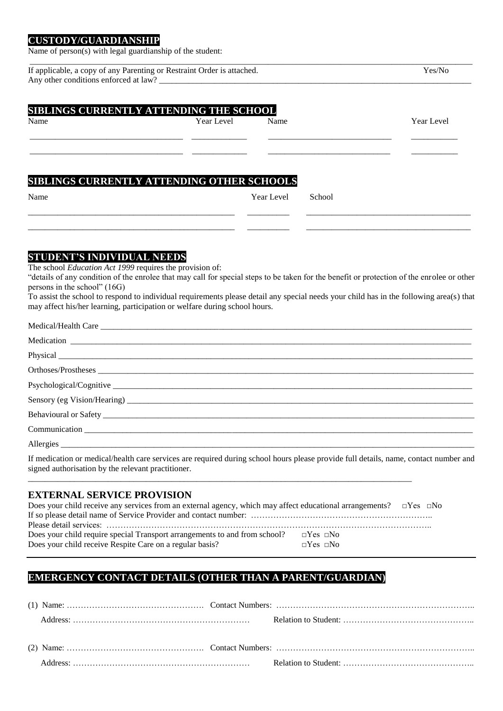#### **CUSTODY/GUARDIANSHIP**

Name of person(s) with legal guardianship of the student:

| Year Level | Name       |                                                                                                     | Year Level |
|------------|------------|-----------------------------------------------------------------------------------------------------|------------|
|            |            |                                                                                                     |            |
|            |            |                                                                                                     |            |
|            |            |                                                                                                     |            |
|            |            |                                                                                                     |            |
|            | Year Level | School                                                                                              |            |
|            |            | <b>SIBLINGS CURRENTLY ATTENDING THE SCHOOL</b><br><b>SIBLINGS CURRENTLY ATTENDING OTHER SCHOOLS</b> |            |

# **STUDENT'S INDIVIDUAL NEEDS**

The school *Education Act 1999* requires the provision of:

"details of any condition of the enrolee that may call for special steps to be taken for the benefit or protection of the enrolee or other persons in the school" (16G)

\_\_\_\_\_\_\_\_\_\_\_\_\_\_\_\_\_\_\_\_\_\_\_\_\_\_\_\_\_\_\_\_\_\_\_\_\_\_\_\_\_\_\_\_\_\_\_\_\_ \_\_\_\_\_\_\_\_\_\_ \_\_\_\_\_\_\_\_\_\_\_\_\_\_\_\_\_\_\_\_\_\_\_\_\_\_\_\_\_\_\_\_\_\_\_\_\_\_\_

To assist the school to respond to individual requirements please detail any special needs your child has in the following area(s) that may affect his/her learning, participation or welfare during school hours.

| Behavioural or Safety |
|-----------------------|
| <b>Communication</b>  |
| Allergies             |

If medication or medical/health care services are required during school hours please provide full details, name, contact number and signed authorisation by the relevant practitioner.

#### **EXTERNAL SERVICE PROVISION**

| Does your child receive any services from an external agency, which may affect educational arrangements? $\square$ Yes $\square$ No |                      |  |
|-------------------------------------------------------------------------------------------------------------------------------------|----------------------|--|
|                                                                                                                                     |                      |  |
|                                                                                                                                     |                      |  |
| Does your child require special Transport arrangements to and from school? $\square$ Yes $\square$ No                               |                      |  |
| Does your child receive Respite Care on a regular basis?                                                                            | $\neg$ Yes $\neg$ No |  |

\_\_\_\_\_\_\_\_\_\_\_\_\_\_\_\_\_\_\_\_\_\_\_\_\_\_\_\_\_\_\_\_\_\_\_\_\_\_\_\_\_\_\_\_\_\_\_\_\_\_\_\_\_\_\_\_\_\_\_\_\_\_\_\_\_\_\_\_\_\_\_\_\_\_\_\_\_\_\_\_\_\_\_\_\_\_\_\_\_\_\_

# **EMERGENCY CONTACT DETAILS (OTHER THAN A PARENT/GUARDIAN)**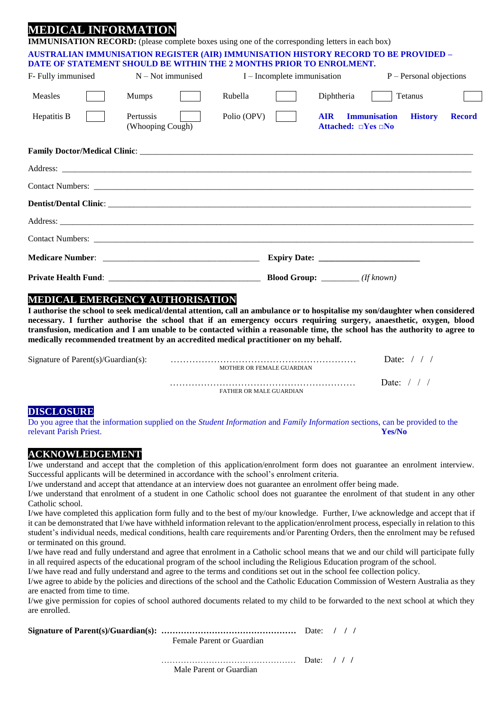# **MEDICAL INFORMATI**

| <u>STEED TOTAL TIME OTWITTEND T</u> |             |                                                    |                                                                                                                                                                                                                                                          |                                                                                                                                                                                                                                                                                                                                                                                                                                                        |
|-------------------------------------|-------------|----------------------------------------------------|----------------------------------------------------------------------------------------------------------------------------------------------------------------------------------------------------------------------------------------------------------|--------------------------------------------------------------------------------------------------------------------------------------------------------------------------------------------------------------------------------------------------------------------------------------------------------------------------------------------------------------------------------------------------------------------------------------------------------|
|                                     |             |                                                    |                                                                                                                                                                                                                                                          |                                                                                                                                                                                                                                                                                                                                                                                                                                                        |
|                                     |             |                                                    |                                                                                                                                                                                                                                                          |                                                                                                                                                                                                                                                                                                                                                                                                                                                        |
| <b>Mumps</b>                        | Rubella     | Diphtheria                                         |                                                                                                                                                                                                                                                          |                                                                                                                                                                                                                                                                                                                                                                                                                                                        |
| Pertussis<br>(Whooping Cough)       | Polio (OPV) | <b>AIR</b><br>Attached: $\square$ Yes $\square$ No | <b>History</b>                                                                                                                                                                                                                                           | <b>Record</b>                                                                                                                                                                                                                                                                                                                                                                                                                                          |
|                                     |             |                                                    |                                                                                                                                                                                                                                                          |                                                                                                                                                                                                                                                                                                                                                                                                                                                        |
|                                     |             |                                                    |                                                                                                                                                                                                                                                          |                                                                                                                                                                                                                                                                                                                                                                                                                                                        |
|                                     |             |                                                    |                                                                                                                                                                                                                                                          |                                                                                                                                                                                                                                                                                                                                                                                                                                                        |
|                                     |             |                                                    |                                                                                                                                                                                                                                                          |                                                                                                                                                                                                                                                                                                                                                                                                                                                        |
|                                     |             |                                                    |                                                                                                                                                                                                                                                          |                                                                                                                                                                                                                                                                                                                                                                                                                                                        |
|                                     |             |                                                    |                                                                                                                                                                                                                                                          |                                                                                                                                                                                                                                                                                                                                                                                                                                                        |
|                                     |             |                                                    |                                                                                                                                                                                                                                                          |                                                                                                                                                                                                                                                                                                                                                                                                                                                        |
|                                     |             |                                                    |                                                                                                                                                                                                                                                          |                                                                                                                                                                                                                                                                                                                                                                                                                                                        |
|                                     |             |                                                    | <b>IMMUNISATION RECORD:</b> (please complete boxes using one of the corresponding letters in each box)<br>DATE OF STATEMENT SHOULD BE WITHIN THE 2 MONTHS PRIOR TO ENROLMENT.<br>$F$ - Fully immunised $N - Not$ immunised $I - Incomplete$ immunisation | <b>AUSTRALIAN IMMUNISATION REGISTER (AIR) IMMUNISATION HISTORY RECORD TO BE PROVIDED -</b><br>$P -$ Personal objections<br>Tetanus<br><b>Immunisation</b><br>Address: <u>and a second contract of the second contract of the second contract of the second contract of the second contract of the second contract of the second contract of the second contract of the second contract of the</u><br><b>Blood Group:</b> _________ ( <i>If known</i> ) |

# **MEDICAL EMERGENCY AUTHORISATION**

**I authorise the school to seek medical/dental attention, call an ambulance or to hospitalise my son/daughter when considered necessary. I further authorise the school that if an emergency occurs requiring surgery, anaesthetic, oxygen, blood transfusion, medication and I am unable to be contacted within a reasonable time, the school has the authority to agree to medically recommended treatment by an accredited medical practitioner on my behalf.**

| Signature of Parent $(s)/$ Guardian $(s)$ : | MOTHER OR FEMALE GUARDIAN      | Date: |
|---------------------------------------------|--------------------------------|-------|
|                                             | <b>FATHER OR MALE GUARDIAN</b> | Date: |

### **DISCLOSURE**

Do you agree that the information supplied on the *Student Information* and *Family Information* sections, can be provided to the relevant Parish Priest. **Yes/No**

#### **ACKNOWLEDGEMENT**

I/we understand and accept that the completion of this application/enrolment form does not guarantee an enrolment interview. Successful applicants will be determined in accordance with the school's enrolment criteria.

I/we understand and accept that attendance at an interview does not guarantee an enrolment offer being made.

I/we understand that enrolment of a student in one Catholic school does not guarantee the enrolment of that student in any other Catholic school.

I/we have completed this application form fully and to the best of my/our knowledge. Further, I/we acknowledge and accept that if it can be demonstrated that I/we have withheld information relevant to the application/enrolment process, especially in relation to this student's individual needs, medical conditions, health care requirements and/or Parenting Orders, then the enrolment may be refused or terminated on this ground.

I/we have read and fully understand and agree that enrolment in a Catholic school means that we and our child will participate fully in all required aspects of the educational program of the school including the Religious Education program of the school.

I/we have read and fully understand and agree to the terms and conditions set out in the school fee collection policy.

I/we agree to abide by the policies and directions of the school and the Catholic Education Commission of Western Australia as they are enacted from time to time.

I/we give permission for copies of school authored documents related to my child to be forwarded to the next school at which they are enrolled.

**Signature of Parent(s)/Guardian(s): …………………………………………** Date: **/ / /** Female Parent or Guardian

………………………………………… Date: **/ / /**

Male Parent or Guardian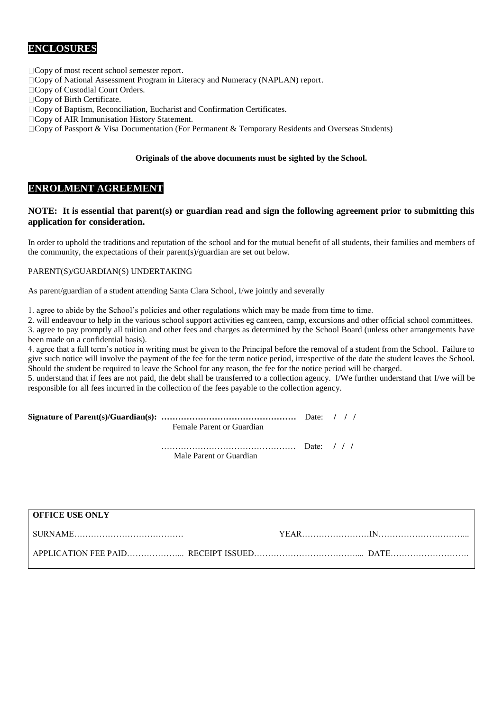## **ENCLOSURES**

□ Copy of most recent school semester report.

- Copy of National Assessment Program in Literacy and Numeracy (NAPLAN) report.
- Copy of Custodial Court Orders.
- Copy of Birth Certificate.
- Copy of Baptism, Reconciliation, Eucharist and Confirmation Certificates.
- □ Copy of AIR Immunisation History Statement.
- $\Box$  Copy of Passport & Visa Documentation (For Permanent & Temporary Residents and Overseas Students)

#### **Originals of the above documents must be sighted by the School.**

#### **ENROLMENT AGREEMENT**

#### **NOTE: It is essential that parent(s) or guardian read and sign the following agreement prior to submitting this application for consideration.**

In order to uphold the traditions and reputation of the school and for the mutual benefit of all students, their families and members of the community, the expectations of their parent(s)/guardian are set out below.

#### PARENT(S)/GUARDIAN(S) UNDERTAKING

As parent/guardian of a student attending Santa Clara School, I/we jointly and severally

1. agree to abide by the School's policies and other regulations which may be made from time to time.

2. will endeavour to help in the various school support activities eg canteen, camp, excursions and other official school committees.

3. agree to pay promptly all tuition and other fees and charges as determined by the School Board (unless other arrangements have been made on a confidential basis).

4. agree that a full term's notice in writing must be given to the Principal before the removal of a student from the School. Failure to give such notice will involve the payment of the fee for the term notice period, irrespective of the date the student leaves the School. Should the student be required to leave the School for any reason, the fee for the notice period will be charged.

5. understand that if fees are not paid, the debt shall be transferred to a collection agency. I/We further understand that I/we will be responsible for all fees incurred in the collection of the fees payable to the collection agency.

|                           | Date: $/ / /$ |  |  |
|---------------------------|---------------|--|--|
| Female Parent or Guardian |               |  |  |

 ………………………………………… Date: **/ / /** Male Parent or Guardian

| <b>OFFICE USE ONLY</b> |  |  |
|------------------------|--|--|
|                        |  |  |
|                        |  |  |